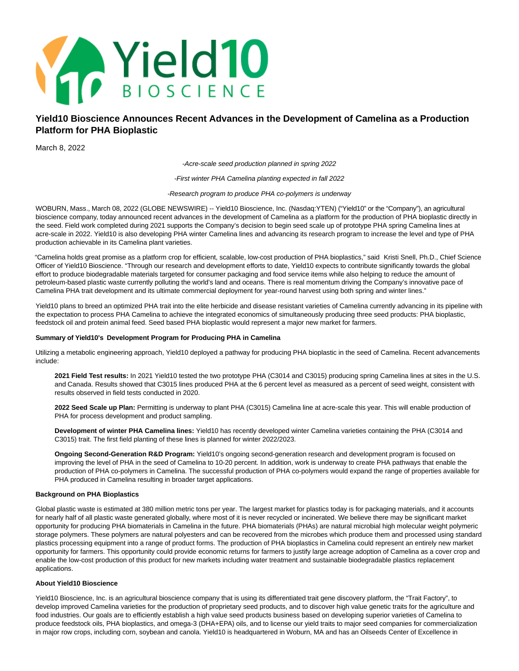

# **Yield10 Bioscience Announces Recent Advances in the Development of Camelina as a Production Platform for PHA Bioplastic**

March 8, 2022

-Acre-scale seed production planned in spring 2022

-First winter PHA Camelina planting expected in fall 2022

-Research program to produce PHA co-polymers is underway

WOBURN, Mass., March 08, 2022 (GLOBE NEWSWIRE) -- Yield10 Bioscience, Inc. (Nasdaq:YTEN) ("Yield10" or the "Company"), an agricultural bioscience company, today announced recent advances in the development of Camelina as a platform for the production of PHA bioplastic directly in the seed. Field work completed during 2021 supports the Company's decision to begin seed scale up of prototype PHA spring Camelina lines at acre-scale in 2022. Yield10 is also developing PHA winter Camelina lines and advancing its research program to increase the level and type of PHA production achievable in its Camelina plant varieties.

"Camelina holds great promise as a platform crop for efficient, scalable, low-cost production of PHA bioplastics," said Kristi Snell, Ph.D., Chief Science Officer of Yield10 Bioscience. "Through our research and development efforts to date, Yield10 expects to contribute significantly towards the global effort to produce biodegradable materials targeted for consumer packaging and food service items while also helping to reduce the amount of petroleum-based plastic waste currently polluting the world's land and oceans. There is real momentum driving the Company's innovative pace of Camelina PHA trait development and its ultimate commercial deployment for year-round harvest using both spring and winter lines."

Yield10 plans to breed an optimized PHA trait into the elite herbicide and disease resistant varieties of Camelina currently advancing in its pipeline with the expectation to process PHA Camelina to achieve the integrated economics of simultaneously producing three seed products: PHA bioplastic, feedstock oil and protein animal feed. Seed based PHA bioplastic would represent a major new market for farmers.

#### **Summary of Yield10's Development Program for Producing PHA in Camelina**

Utilizing a metabolic engineering approach, Yield10 deployed a pathway for producing PHA bioplastic in the seed of Camelina. Recent advancements include:

**2021 Field Test results:** In 2021 Yield10 tested the two prototype PHA (C3014 and C3015) producing spring Camelina lines at sites in the U.S. and Canada. Results showed that C3015 lines produced PHA at the 6 percent level as measured as a percent of seed weight, consistent with results observed in field tests conducted in 2020.

**2022 Seed Scale up Plan:** Permitting is underway to plant PHA (C3015) Camelina line at acre-scale this year. This will enable production of PHA for process development and product sampling.

**Development of winter PHA Camelina lines:** Yield10 has recently developed winter Camelina varieties containing the PHA (C3014 and C3015) trait. The first field planting of these lines is planned for winter 2022/2023.

**Ongoing Second-Generation R&D Program:** Yield10's ongoing second-generation research and development program is focused on improving the level of PHA in the seed of Camelina to 10-20 percent. In addition, work is underway to create PHA pathways that enable the production of PHA co-polymers in Camelina. The successful production of PHA co-polymers would expand the range of properties available for PHA produced in Camelina resulting in broader target applications.

## **Background on PHA Bioplastics**

Global plastic waste is estimated at 380 million metric tons per year. The largest market for plastics today is for packaging materials, and it accounts for nearly half of all plastic waste generated globally, where most of it is never recycled or incinerated. We believe there may be significant market opportunity for producing PHA biomaterials in Camelina in the future. PHA biomaterials (PHAs) are natural microbial high molecular weight polymeric storage polymers. These polymers are natural polyesters and can be recovered from the microbes which produce them and processed using standard plastics processing equipment into a range of product forms. The production of PHA bioplastics in Camelina could represent an entirely new market opportunity for farmers. This opportunity could provide economic returns for farmers to justify large acreage adoption of Camelina as a cover crop and enable the low-cost production of this product for new markets including water treatment and sustainable biodegradable plastics replacement applications.

#### **About Yield10 Bioscience**

Yield10 Bioscience, Inc. is an agricultural bioscience company that is using its differentiated trait gene discovery platform, the "Trait Factory", to develop improved Camelina varieties for the production of proprietary seed products, and to discover high value genetic traits for the agriculture and food industries. Our goals are to efficiently establish a high value seed products business based on developing superior varieties of Camelina to produce feedstock oils, PHA bioplastics, and omega-3 (DHA+EPA) oils, and to license our yield traits to major seed companies for commercialization in major row crops, including corn, soybean and canola. Yield10 is headquartered in Woburn, MA and has an Oilseeds Center of Excellence in